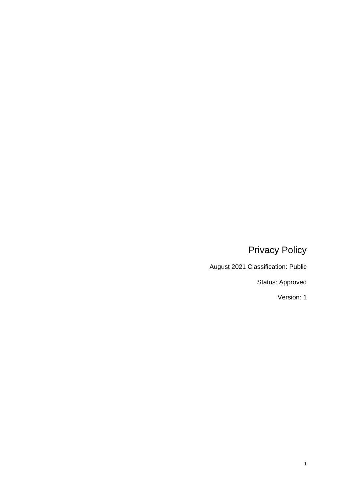# Privacy Policy

August 2021 Classification: Public

Status: Approved

Version: 1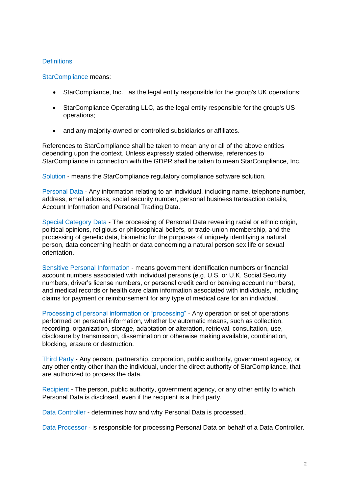## **Definitions**

StarCompliance means:

- StarCompliance, Inc., as the legal entity responsible for the group's UK operations;
- StarCompliance Operating LLC, as the legal entity responsible for the group's US operations;
- and any majority-owned or controlled subsidiaries or affiliates.

References to StarCompliance shall be taken to mean any or all of the above entities depending upon the context. Unless expressly stated otherwise, references to StarCompliance in connection with the GDPR shall be taken to mean StarCompliance, Inc.

Solution - means the StarCompliance regulatory compliance software solution.

Personal Data - Any information relating to an individual, including name, telephone number, address, email address, social security number, personal business transaction details, Account Information and Personal Trading Data.

Special Category Data - The processing of Personal Data revealing racial or ethnic origin, political opinions, religious or philosophical beliefs, or trade-union membership, and the processing of genetic data, biometric for the purposes of uniquely identifying a natural person, data concerning health or data concerning a natural person sex life or sexual orientation.

Sensitive Personal Information - means government identification numbers or financial account numbers associated with individual persons (e.g. U.S. or U.K. Social Security numbers, driver's license numbers, or personal credit card or banking account numbers), and medical records or health care claim information associated with individuals, including claims for payment or reimbursement for any type of medical care for an individual.

Processing of personal information or "processing" - Any operation or set of operations performed on personal information, whether by automatic means, such as collection, recording, organization, storage, adaptation or alteration, retrieval, consultation, use, disclosure by transmission, dissemination or otherwise making available, combination, blocking, erasure or destruction.

Third Party - Any person, partnership, corporation, public authority, government agency, or any other entity other than the individual, under the direct authority of StarCompliance, that are authorized to process the data.

Recipient - The person, public authority, government agency, or any other entity to which Personal Data is disclosed, even if the recipient is a third party.

Data Controller - determines how and why Personal Data is processed..

Data Processor - is responsible for processing Personal Data on behalf of a Data Controller.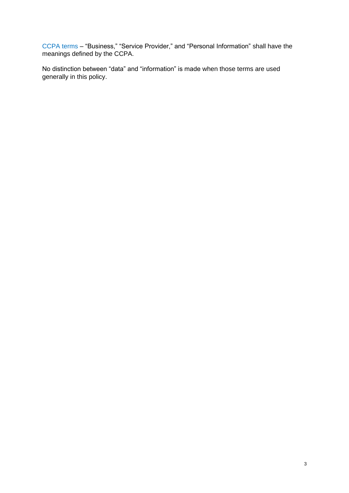CCPA terms – "Business," "Service Provider," and "Personal Information" shall have the meanings defined by the CCPA.

No distinction between "data" and "information" is made when those terms are used generally in this policy.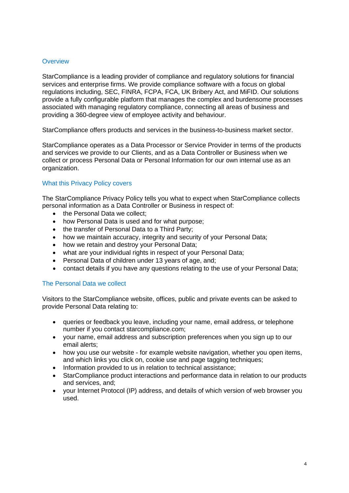# **Overview**

StarCompliance is a leading provider of compliance and regulatory solutions for financial services and enterprise firms. We provide compliance software with a focus on global regulations including, SEC, FINRA, FCPA, FCA, UK Bribery Act, and MiFID. Our solutions provide a fully configurable platform that manages the complex and burdensome processes associated with managing regulatory compliance, connecting all areas of business and providing a 360-degree view of employee activity and behaviour.

StarCompliance offers products and services in the business-to-business market sector.

StarCompliance operates as a Data Processor or Service Provider in terms of the products and services we provide to our Clients, and as a Data Controller or Business when we collect or process Personal Data or Personal Information for our own internal use as an organization.

# What this Privacy Policy covers

The StarCompliance Privacy Policy tells you what to expect when StarCompliance collects personal information as a Data Controller or Business in respect of:

- the Personal Data we collect:
- how Personal Data is used and for what purpose;
- the transfer of Personal Data to a Third Party;
- how we maintain accuracy, integrity and security of your Personal Data;
- how we retain and destroy your Personal Data;
- what are your individual rights in respect of your Personal Data;
- Personal Data of children under 13 years of age, and;
- contact details if you have any questions relating to the use of your Personal Data;

# The Personal Data we collect

Visitors to the StarCompliance website, offices, public and private events can be asked to provide Personal Data relating to:

- queries or feedback you leave, including your name, email address, or telephone number if you contact starcompliance.com;
- your name, email address and subscription preferences when you sign up to our email alerts;
- how you use our website for example website navigation, whether you open items, and which links you click on, cookie use and page tagging techniques;
- Information provided to us in relation to technical assistance;
- StarCompliance product interactions and performance data in relation to our products and services, and;
- your Internet Protocol (IP) address, and details of which version of web browser you used.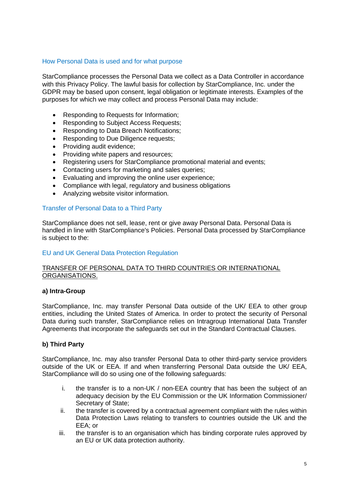## How Personal Data is used and for what purpose

StarCompliance processes the Personal Data we collect as a Data Controller in accordance with this Privacy Policy. The lawful basis for collection by StarCompliance, Inc. under the GDPR may be based upon consent, legal obligation or legitimate interests. Examples of the purposes for which we may collect and process Personal Data may include:

- Responding to Requests for Information;
- Responding to Subject Access Requests;
- Responding to Data Breach Notifications;
- Responding to Due Diligence requests:
- Providing audit evidence;
- Providing white papers and resources;
- Registering users for StarCompliance promotional material and events;
- Contacting users for marketing and sales queries;
- Evaluating and improving the online user experience;
- Compliance with legal, regulatory and business obligations
- Analyzing website visitor information.

#### Transfer of Personal Data to a Third Party

StarCompliance does not sell, lease, rent or give away Personal Data. Personal Data is handled in line with StarCompliance's Policies. Personal Data processed by StarCompliance is subject to the:

## EU and UK General Data Protection Regulation

## TRANSFER OF PERSONAL DATA TO THIRD COUNTRIES OR INTERNATIONAL ORGANISATIONS.

## **a) Intra-Group**

StarCompliance, Inc. may transfer Personal Data outside of the UK/ EEA to other group entities, including the United States of America. In order to protect the security of Personal Data during such transfer, StarCompliance relies on Intragroup International Data Transfer Agreements that incorporate the safeguards set out in the Standard Contractual Clauses.

## **b) Third Party**

StarCompliance, Inc. may also transfer Personal Data to other third-party service providers outside of the UK or EEA. If and when transferring Personal Data outside the UK/ EEA, StarCompliance will do so using one of the following safeguards:

- i. the transfer is to a non-UK / non-EEA country that has been the subject of an adequacy decision by the EU Commission or the UK Information Commissioner/ Secretary of State;
- ii. the transfer is covered by a contractual agreement compliant with the rules within Data Protection Laws relating to transfers to countries outside the UK and the EEA; or
- iii. the transfer is to an organisation which has binding corporate rules approved by an EU or UK data protection authority.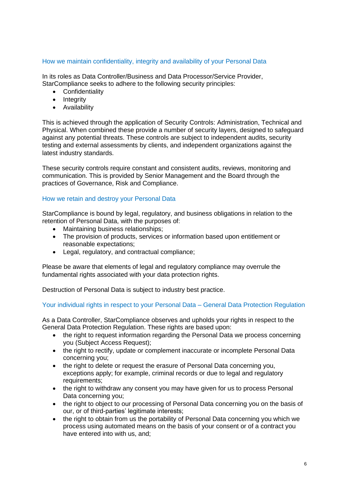# How we maintain confidentiality, integrity and availability of your Personal Data

In its roles as Data Controller/Business and Data Processor/Service Provider, StarCompliance seeks to adhere to the following security principles:

- Confidentiality
- Integrity
- Availability

This is achieved through the application of Security Controls: Administration, Technical and Physical. When combined these provide a number of security layers, designed to safeguard against any potential threats. These controls are subject to independent audits, security testing and external assessments by clients, and independent organizations against the latest industry standards.

These security controls require constant and consistent audits, reviews, monitoring and communication. This is provided by Senior Management and the Board through the practices of Governance, Risk and Compliance.

## How we retain and destroy your Personal Data

StarCompliance is bound by legal, regulatory, and business obligations in relation to the retention of Personal Data, with the purposes of:

- Maintaining business relationships;
- The provision of products, services or information based upon entitlement or reasonable expectations;
- Legal, regulatory, and contractual compliance;

Please be aware that elements of legal and regulatory compliance may overrule the fundamental rights associated with your data protection rights.

Destruction of Personal Data is subject to industry best practice.

# Your individual rights in respect to your Personal Data – General Data Protection Regulation

As a Data Controller, StarCompliance observes and upholds your rights in respect to the General Data Protection Regulation. These rights are based upon:

- the right to request information regarding the Personal Data we process concerning you (Subject Access Request);
- the right to rectify, update or complement inaccurate or incomplete Personal Data concerning you;
- the right to delete or request the erasure of Personal Data concerning you, exceptions apply; for example, criminal records or due to legal and regulatory requirements;
- the right to withdraw any consent you may have given for us to process Personal Data concerning you;
- the right to object to our processing of Personal Data concerning you on the basis of our, or of third-parties' legitimate interests;
- the right to obtain from us the portability of Personal Data concerning you which we process using automated means on the basis of your consent or of a contract you have entered into with us, and;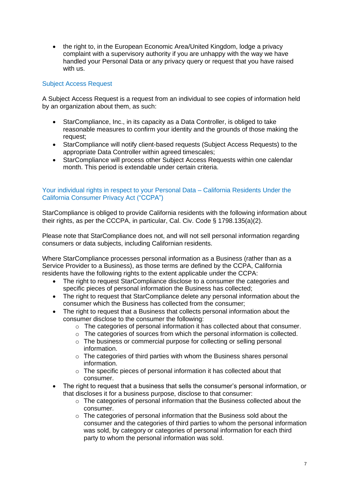• the right to, in the European Economic Area/United Kingdom, lodge a privacy complaint with a supervisory authority if you are unhappy with the way we have handled your Personal Data or any privacy query or request that you have raised with us.

# Subject Access Request

A Subject Access Request is a request from an individual to see copies of information held by an organization about them, as such:

- StarCompliance, Inc., in its capacity as a Data Controller, is obliged to take reasonable measures to confirm your identity and the grounds of those making the request;
- StarCompliance will notify client-based requests (Subject Access Requests) to the appropriate Data Controller within agreed timescales;
- StarCompliance will process other Subject Access Requests within one calendar month. This period is extendable under certain criteria.

# Your individual rights in respect to your Personal Data – California Residents Under the California Consumer Privacy Act ("CCPA")

StarCompliance is obliged to provide California residents with the following information about their rights, as per the CCCPA, in particular, Cal. Civ. Code § 1798.135(a)(2).

Please note that StarCompliance does not, and will not sell personal information regarding consumers or data subjects, including Californian residents.

Where StarCompliance processes personal information as a Business (rather than as a Service Provider to a Business), as those terms are defined by the CCPA, California residents have the following rights to the extent applicable under the CCPA:

- The right to request StarCompliance disclose to a consumer the categories and specific pieces of personal information the Business has collected;
- The right to request that StarCompliance delete any personal information about the consumer which the Business has collected from the consumer;
- The right to request that a Business that collects personal information about the consumer disclose to the consumer the following:
	- o The categories of personal information it has collected about that consumer.
	- o The categories of sources from which the personal information is collected.
	- o The business or commercial purpose for collecting or selling personal information.
	- o The categories of third parties with whom the Business shares personal information.
	- o The specific pieces of personal information it has collected about that consumer.
- The right to request that a business that sells the consumer's personal information, or that discloses it for a business purpose, disclose to that consumer:
	- $\circ$  The categories of personal information that the Business collected about the consumer.
	- $\circ$  The categories of personal information that the Business sold about the consumer and the categories of third parties to whom the personal information was sold, by category or categories of personal information for each third party to whom the personal information was sold.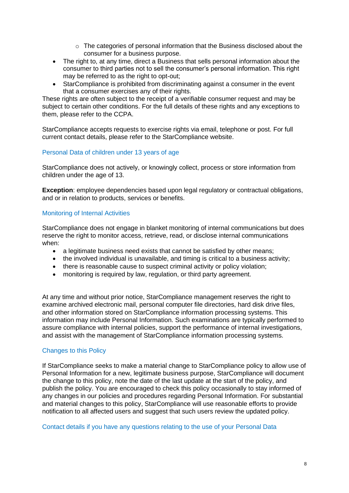- $\circ$  The categories of personal information that the Business disclosed about the consumer for a business purpose.
- The right to, at any time, direct a Business that sells personal information about the consumer to third parties not to sell the consumer's personal information. This right may be referred to as the right to opt-out:
- StarCompliance is prohibited from discriminating against a consumer in the event that a consumer exercises any of their rights.

These rights are often subject to the receipt of a verifiable consumer request and may be subject to certain other conditions. For the full details of these rights and any exceptions to them, please refer to the CCPA.

StarCompliance accepts requests to exercise rights via email, telephone or post. For full current contact details, please refer to the StarCompliance website.

# Personal Data of children under 13 years of age

StarCompliance does not actively, or knowingly collect, process or store information from children under the age of 13.

**Exception**: employee dependencies based upon legal regulatory or contractual obligations, and or in relation to products, services or benefits.

## Monitoring of Internal Activities

StarCompliance does not engage in blanket monitoring of internal communications but does reserve the right to monitor access, retrieve, read, or disclose internal communications when:

- a legitimate business need exists that cannot be satisfied by other means;
- the involved individual is unavailable, and timing is critical to a business activity;
- there is reasonable cause to suspect criminal activity or policy violation:
- monitoring is required by law, requiation, or third party agreement.

At any time and without prior notice, StarCompliance management reserves the right to examine archived electronic mail, personal computer file directories, hard disk drive files, and other information stored on StarCompliance information processing systems. This information may include Personal Information. Such examinations are typically performed to assure compliance with internal policies, support the performance of internal investigations, and assist with the management of StarCompliance information processing systems.

## Changes to this Policy

If StarCompliance seeks to make a material change to StarCompliance policy to allow use of Personal Information for a new, legitimate business purpose, StarCompliance will document the change to this policy, note the date of the last update at the start of the policy, and publish the policy. You are encouraged to check this policy occasionally to stay informed of any changes in our policies and procedures regarding Personal Information. For substantial and material changes to this policy, StarCompliance will use reasonable efforts to provide notification to all affected users and suggest that such users review the updated policy.

Contact details if you have any questions relating to the use of your Personal Data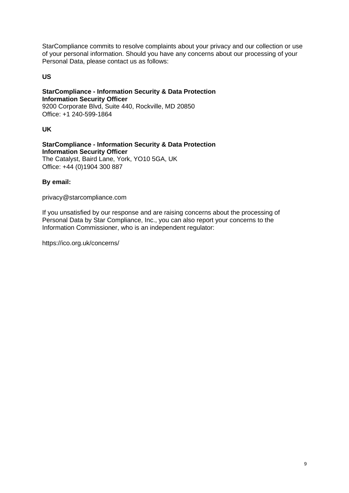StarCompliance commits to resolve complaints about your privacy and our collection or use of your personal information. Should you have any concerns about our processing of your Personal Data, please contact us as follows:

# **US**

## **StarCompliance - Information Security & Data Protection Information Security Officer** 9200 Corporate Blvd, Suite 440, Rockville, MD 20850 Office: +1 240-599-1864

**UK**

**StarCompliance - Information Security & Data Protection Information Security Officer** The Catalyst, Baird Lane, York, YO10 5GA, UK Office: +44 (0)1904 300 887

## **By email:**

privacy@starcompliance.com

If you unsatisfied by our response and are raising concerns about the processing of Personal Data by Star Compliance, Inc., you can also report your concerns to the Information Commissioner, who is an independent regulator:

https://ico.org.uk/concerns/